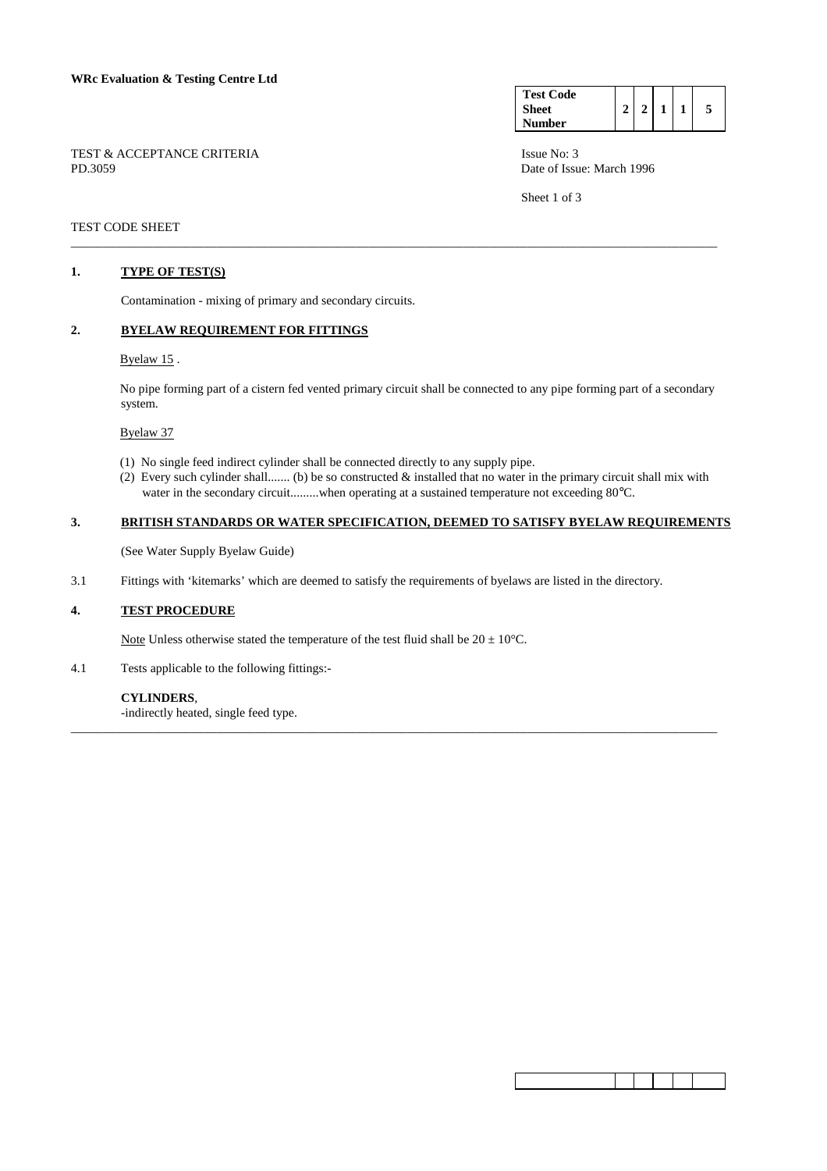TEST & ACCEPTANCE CRITERIA Issue No: 3 PD.3059 Date of Issue: March 1996

| <b>Test Code</b> |  |  |  |
|------------------|--|--|--|
| <b>Sheet</b>     |  |  |  |
| Number           |  |  |  |

Sheet 1 of 3

## TEST CODE SHEET

#### **1. TYPE OF TEST(S)**

Contamination - mixing of primary and secondary circuits.

#### **2. BYELAW REQUIREMENT FOR FITTINGS**

## Byelaw 15 .

 No pipe forming part of a cistern fed vented primary circuit shall be connected to any pipe forming part of a secondary system.

\_\_\_\_\_\_\_\_\_\_\_\_\_\_\_\_\_\_\_\_\_\_\_\_\_\_\_\_\_\_\_\_\_\_\_\_\_\_\_\_\_\_\_\_\_\_\_\_\_\_\_\_\_\_\_\_\_\_\_\_\_\_\_\_\_\_\_\_\_\_\_\_\_\_\_\_\_\_\_\_\_\_\_\_\_\_\_\_\_\_\_\_\_\_\_\_\_\_\_\_\_\_

#### Byelaw 37

- (1) No single feed indirect cylinder shall be connected directly to any supply pipe.
- (2) Every such cylinder shall....... (b) be so constructed & installed that no water in the primary circuit shall mix with water in the secondary circuit.........when operating at a sustained temperature not exceeding 80°C.

## **3. BRITISH STANDARDS OR WATER SPECIFICATION, DEEMED TO SATISFY BYELAW REQUIREMENTS**

\_\_\_\_\_\_\_\_\_\_\_\_\_\_\_\_\_\_\_\_\_\_\_\_\_\_\_\_\_\_\_\_\_\_\_\_\_\_\_\_\_\_\_\_\_\_\_\_\_\_\_\_\_\_\_\_\_\_\_\_\_\_\_\_\_\_\_\_\_\_\_\_\_\_\_\_\_\_\_\_\_\_\_\_\_\_\_\_\_\_\_\_\_\_\_\_\_\_\_\_\_\_

(See Water Supply Byelaw Guide)

3.1 Fittings with 'kitemarks' which are deemed to satisfy the requirements of byelaws are listed in the directory.

#### **4. TEST PROCEDURE**

Note Unless otherwise stated the temperature of the test fluid shall be  $20 \pm 10^{\circ}$ C.

4.1 Tests applicable to the following fittings:-

#### **CYLINDERS**,

-indirectly heated, single feed type.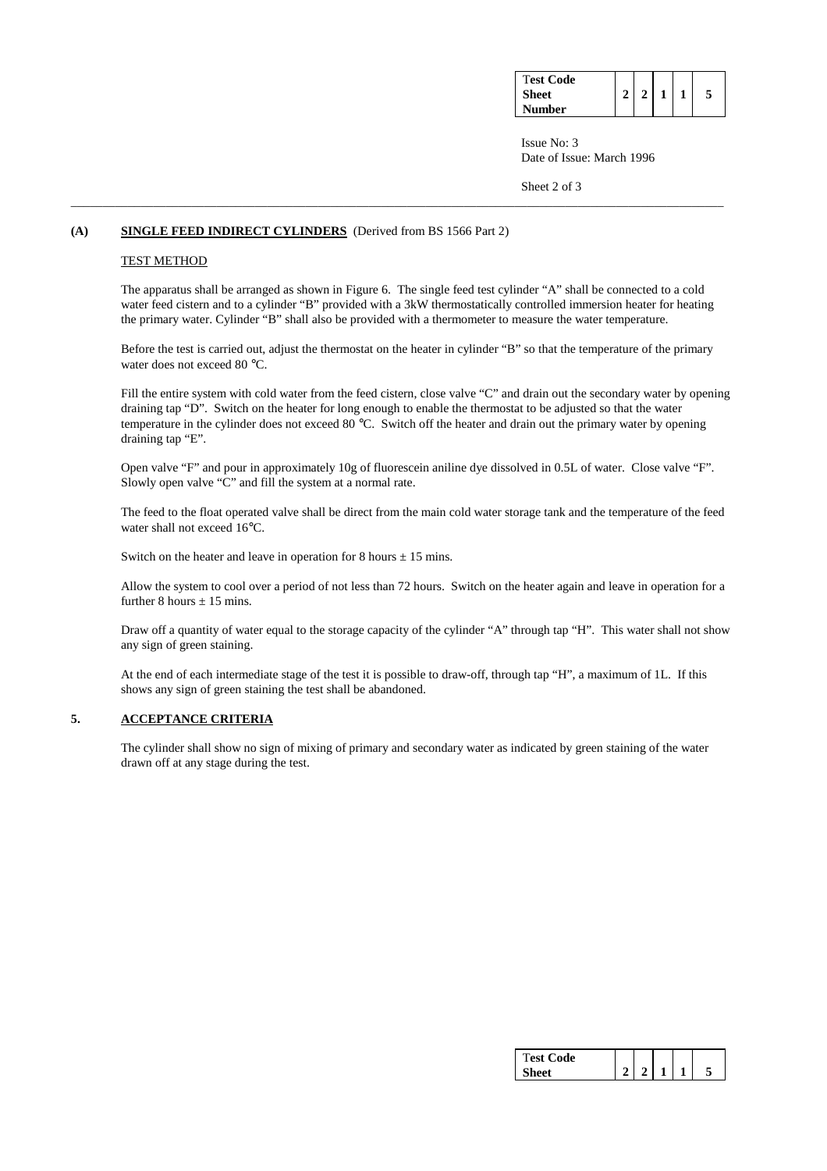| <b>Test Code</b><br><b>Sheet</b> |  |  | 5 |
|----------------------------------|--|--|---|
| Number                           |  |  |   |

 Issue No: 3 Date of Issue: March 1996

Sheet 2 of 3

#### **(A) SINGLE FEED INDIRECT CYLINDERS** (Derived from BS 1566 Part 2)

#### TEST METHOD

 The apparatus shall be arranged as shown in Figure 6. The single feed test cylinder "A" shall be connected to a cold water feed cistern and to a cylinder "B" provided with a 3kW thermostatically controlled immersion heater for heating the primary water. Cylinder "B" shall also be provided with a thermometer to measure the water temperature.

\_\_\_\_\_\_\_\_\_\_\_\_\_\_\_\_\_\_\_\_\_\_\_\_\_\_\_\_\_\_\_\_\_\_\_\_\_\_\_\_\_\_\_\_\_\_\_\_\_\_\_\_\_\_\_\_\_\_\_\_\_\_\_\_\_\_\_\_\_\_\_\_\_\_\_\_\_\_\_\_\_\_\_\_\_\_\_\_\_\_\_\_\_\_\_\_\_\_\_\_\_\_\_

 Before the test is carried out, adjust the thermostat on the heater in cylinder "B" so that the temperature of the primary water does not exceed 80 °C.

 Fill the entire system with cold water from the feed cistern, close valve "C" and drain out the secondary water by opening draining tap "D". Switch on the heater for long enough to enable the thermostat to be adjusted so that the water temperature in the cylinder does not exceed 80 °C. Switch off the heater and drain out the primary water by opening draining tap "E".

 Open valve "F" and pour in approximately 10g of fluorescein aniline dye dissolved in 0.5L of water. Close valve "F". Slowly open valve "C" and fill the system at a normal rate.

 The feed to the float operated valve shall be direct from the main cold water storage tank and the temperature of the feed water shall not exceed 16°C.

Switch on the heater and leave in operation for 8 hours  $\pm$  15 mins.

 Allow the system to cool over a period of not less than 72 hours. Switch on the heater again and leave in operation for a further 8 hours  $\pm$  15 mins.

 Draw off a quantity of water equal to the storage capacity of the cylinder "A" through tap "H". This water shall not show any sign of green staining.

 At the end of each intermediate stage of the test it is possible to draw-off, through tap "H", a maximum of 1L. If this shows any sign of green staining the test shall be abandoned.

# **5. ACCEPTANCE CRITERIA**

 The cylinder shall show no sign of mixing of primary and secondary water as indicated by green staining of the water drawn off at any stage during the test.

| Code<br>т<br>est. |  |  |  |
|-------------------|--|--|--|
|                   |  |  |  |